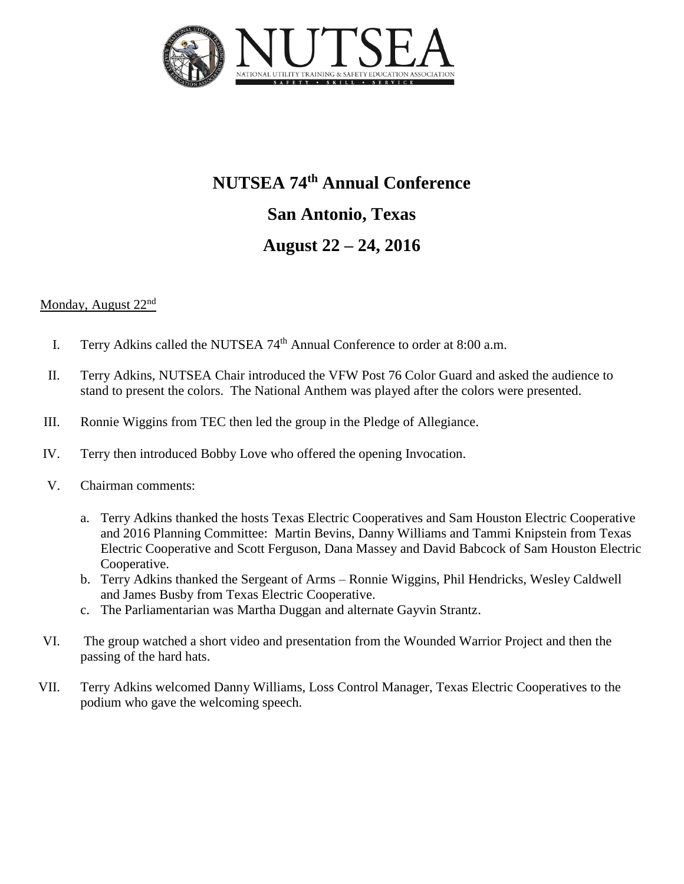

# **NUTSEA 74th Annual Conference San Antonio, Texas August 22 – 24, 2016**

#### Monday, August 22nd

- I. Terry Adkins called the NUTSEA 74<sup>th</sup> Annual Conference to order at 8:00 a.m.
- II. Terry Adkins, NUTSEA Chair introduced the VFW Post 76 Color Guard and asked the audience to stand to present the colors. The National Anthem was played after the colors were presented.
- III. Ronnie Wiggins from TEC then led the group in the Pledge of Allegiance.
- IV. Terry then introduced Bobby Love who offered the opening Invocation.
- V. Chairman comments:
	- a. Terry Adkins thanked the hosts Texas Electric Cooperatives and Sam Houston Electric Cooperative and 2016 Planning Committee: Martin Bevins, Danny Williams and Tammi Knipstein from Texas Electric Cooperative and Scott Ferguson, Dana Massey and David Babcock of Sam Houston Electric Cooperative.
	- b. Terry Adkins thanked the Sergeant of Arms Ronnie Wiggins, Phil Hendricks, Wesley Caldwell and James Busby from Texas Electric Cooperative.
	- c. The Parliamentarian was Martha Duggan and alternate Gayvin Strantz.
- VI. The group watched a short video and presentation from the Wounded Warrior Project and then the passing of the hard hats.
- VII. Terry Adkins welcomed Danny Williams, Loss Control Manager, Texas Electric Cooperatives to the podium who gave the welcoming speech.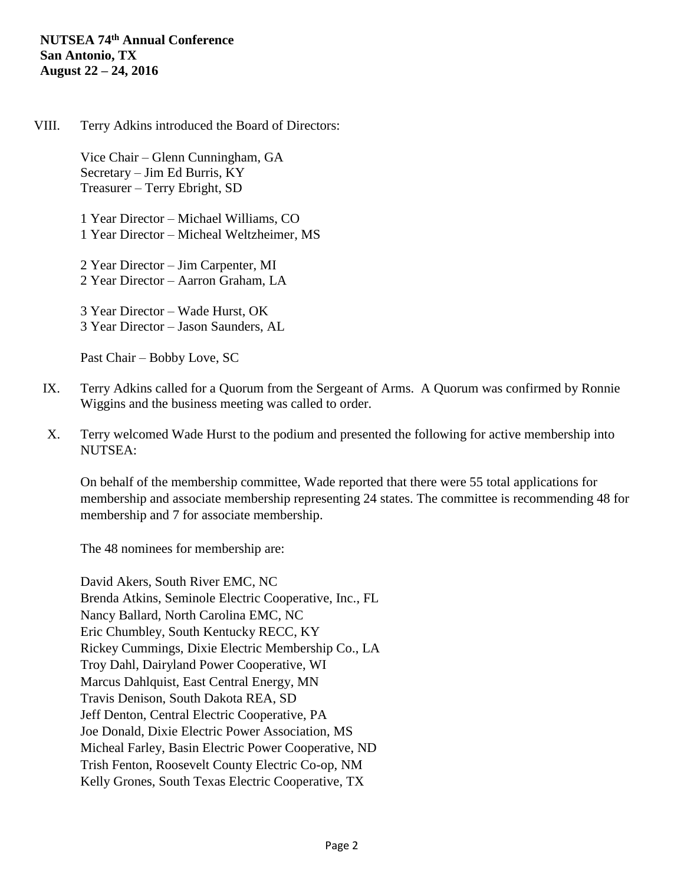VIII. Terry Adkins introduced the Board of Directors:

Vice Chair – Glenn Cunningham, GA Secretary – Jim Ed Burris, KY Treasurer – Terry Ebright, SD

1 Year Director – Michael Williams, CO 1 Year Director – Micheal Weltzheimer, MS

2 Year Director – Jim Carpenter, MI 2 Year Director – Aarron Graham, LA

3 Year Director – Wade Hurst, OK 3 Year Director – Jason Saunders, AL

Past Chair – Bobby Love, SC

- IX. Terry Adkins called for a Quorum from the Sergeant of Arms. A Quorum was confirmed by Ronnie Wiggins and the business meeting was called to order.
- X. Terry welcomed Wade Hurst to the podium and presented the following for active membership into NUTSEA:

On behalf of the membership committee, Wade reported that there were 55 total applications for membership and associate membership representing 24 states. The committee is recommending 48 for membership and 7 for associate membership.

The 48 nominees for membership are:

David Akers, South River EMC, NC Brenda Atkins, Seminole Electric Cooperative, Inc., FL Nancy Ballard, North Carolina EMC, NC Eric Chumbley, South Kentucky RECC, KY Rickey Cummings, Dixie Electric Membership Co., LA Troy Dahl, Dairyland Power Cooperative, WI Marcus Dahlquist, East Central Energy, MN Travis Denison, South Dakota REA, SD Jeff Denton, Central Electric Cooperative, PA Joe Donald, Dixie Electric Power Association, MS Micheal Farley, Basin Electric Power Cooperative, ND Trish Fenton, Roosevelt County Electric Co-op, NM Kelly Grones, South Texas Electric Cooperative, TX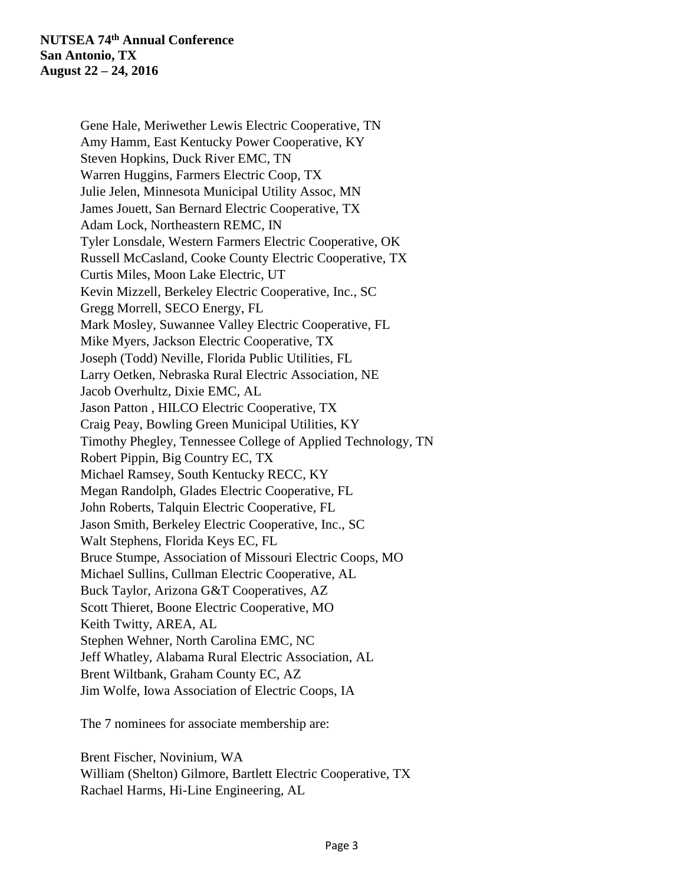Gene Hale, Meriwether Lewis Electric Cooperative, TN Amy Hamm, East Kentucky Power Cooperative, KY Steven Hopkins, Duck River EMC, TN Warren Huggins, Farmers Electric Coop, TX Julie Jelen, Minnesota Municipal Utility Assoc, MN James Jouett, San Bernard Electric Cooperative, TX Adam Lock, Northeastern REMC, IN Tyler Lonsdale, Western Farmers Electric Cooperative, OK Russell McCasland, Cooke County Electric Cooperative, TX Curtis Miles, Moon Lake Electric, UT Kevin Mizzell, Berkeley Electric Cooperative, Inc., SC Gregg Morrell, SECO Energy, FL Mark Mosley, Suwannee Valley Electric Cooperative, FL Mike Myers, Jackson Electric Cooperative, TX Joseph (Todd) Neville, Florida Public Utilities, FL Larry Oetken, Nebraska Rural Electric Association, NE Jacob Overhultz, Dixie EMC, AL Jason Patton , HILCO Electric Cooperative, TX Craig Peay, Bowling Green Municipal Utilities, KY Timothy Phegley, Tennessee College of Applied Technology, TN Robert Pippin, Big Country EC, TX Michael Ramsey, South Kentucky RECC, KY Megan Randolph, Glades Electric Cooperative, FL John Roberts, Talquin Electric Cooperative, FL Jason Smith, Berkeley Electric Cooperative, Inc., SC Walt Stephens, Florida Keys EC, FL Bruce Stumpe, Association of Missouri Electric Coops, MO Michael Sullins, Cullman Electric Cooperative, AL Buck Taylor, Arizona G&T Cooperatives, AZ Scott Thieret, Boone Electric Cooperative, MO Keith Twitty, AREA, AL Stephen Wehner, North Carolina EMC, NC Jeff Whatley, Alabama Rural Electric Association, AL Brent Wiltbank, Graham County EC, AZ Jim Wolfe, Iowa Association of Electric Coops, IA

The 7 nominees for associate membership are:

Brent Fischer, Novinium, WA William (Shelton) Gilmore, Bartlett Electric Cooperative, TX Rachael Harms, Hi-Line Engineering, AL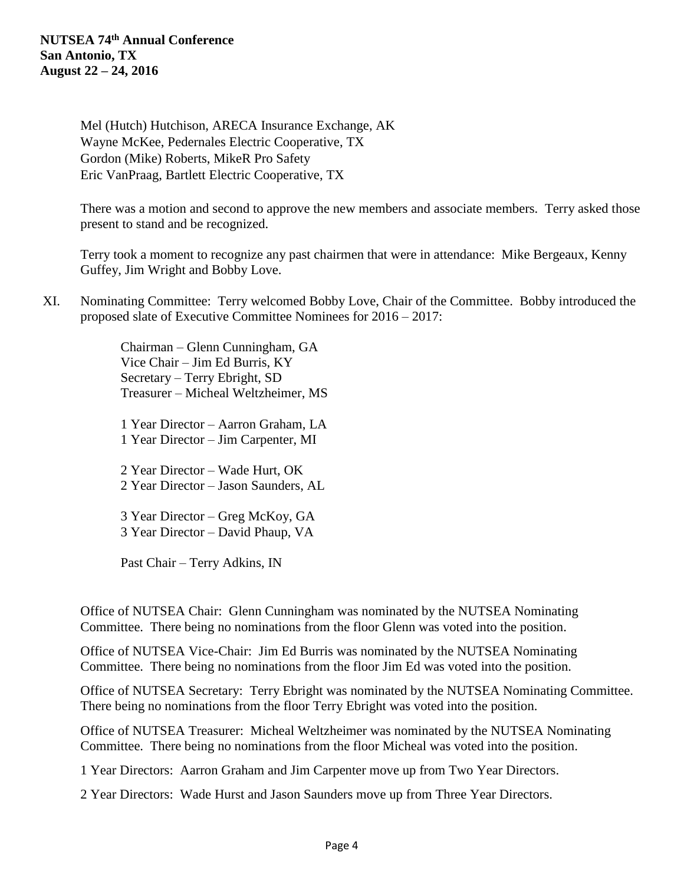Mel (Hutch) Hutchison, ARECA Insurance Exchange, AK Wayne McKee, Pedernales Electric Cooperative, TX Gordon (Mike) Roberts, MikeR Pro Safety Eric VanPraag, Bartlett Electric Cooperative, TX

There was a motion and second to approve the new members and associate members. Terry asked those present to stand and be recognized.

Terry took a moment to recognize any past chairmen that were in attendance: Mike Bergeaux, Kenny Guffey, Jim Wright and Bobby Love.

XI. Nominating Committee: Terry welcomed Bobby Love, Chair of the Committee. Bobby introduced the proposed slate of Executive Committee Nominees for 2016 – 2017:

> Chairman – Glenn Cunningham, GA Vice Chair – Jim Ed Burris, KY Secretary – Terry Ebright, SD Treasurer – Micheal Weltzheimer, MS

> 1 Year Director – Aarron Graham, LA 1 Year Director – Jim Carpenter, MI

> 2 Year Director – Wade Hurt, OK 2 Year Director – Jason Saunders, AL

3 Year Director – Greg McKoy, GA 3 Year Director – David Phaup, VA

Past Chair – Terry Adkins, IN

Office of NUTSEA Chair: Glenn Cunningham was nominated by the NUTSEA Nominating Committee. There being no nominations from the floor Glenn was voted into the position.

Office of NUTSEA Vice-Chair: Jim Ed Burris was nominated by the NUTSEA Nominating Committee. There being no nominations from the floor Jim Ed was voted into the position.

Office of NUTSEA Secretary: Terry Ebright was nominated by the NUTSEA Nominating Committee. There being no nominations from the floor Terry Ebright was voted into the position.

Office of NUTSEA Treasurer: Micheal Weltzheimer was nominated by the NUTSEA Nominating Committee. There being no nominations from the floor Micheal was voted into the position.

1 Year Directors: Aarron Graham and Jim Carpenter move up from Two Year Directors.

2 Year Directors: Wade Hurst and Jason Saunders move up from Three Year Directors.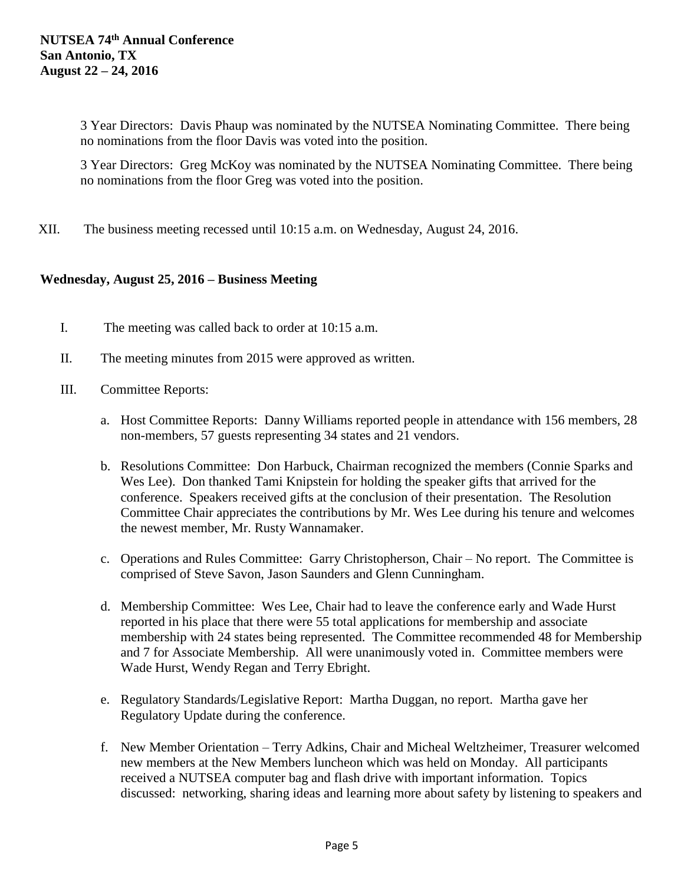3 Year Directors: Davis Phaup was nominated by the NUTSEA Nominating Committee. There being no nominations from the floor Davis was voted into the position.

3 Year Directors: Greg McKoy was nominated by the NUTSEA Nominating Committee. There being no nominations from the floor Greg was voted into the position.

XII. The business meeting recessed until 10:15 a.m. on Wednesday, August 24, 2016.

## **Wednesday, August 25, 2016 – Business Meeting**

- I. The meeting was called back to order at 10:15 a.m.
- II. The meeting minutes from 2015 were approved as written.
- III. Committee Reports:
	- a. Host Committee Reports: Danny Williams reported people in attendance with 156 members, 28 non-members, 57 guests representing 34 states and 21 vendors.
	- b. Resolutions Committee: Don Harbuck, Chairman recognized the members (Connie Sparks and Wes Lee). Don thanked Tami Knipstein for holding the speaker gifts that arrived for the conference. Speakers received gifts at the conclusion of their presentation. The Resolution Committee Chair appreciates the contributions by Mr. Wes Lee during his tenure and welcomes the newest member, Mr. Rusty Wannamaker.
	- c. Operations and Rules Committee: Garry Christopherson, Chair No report. The Committee is comprised of Steve Savon, Jason Saunders and Glenn Cunningham.
	- d. Membership Committee: Wes Lee, Chair had to leave the conference early and Wade Hurst reported in his place that there were 55 total applications for membership and associate membership with 24 states being represented. The Committee recommended 48 for Membership and 7 for Associate Membership. All were unanimously voted in. Committee members were Wade Hurst, Wendy Regan and Terry Ebright.
	- e. Regulatory Standards/Legislative Report: Martha Duggan, no report. Martha gave her Regulatory Update during the conference.
	- f. New Member Orientation Terry Adkins, Chair and Micheal Weltzheimer, Treasurer welcomed new members at the New Members luncheon which was held on Monday. All participants received a NUTSEA computer bag and flash drive with important information. Topics discussed: networking, sharing ideas and learning more about safety by listening to speakers and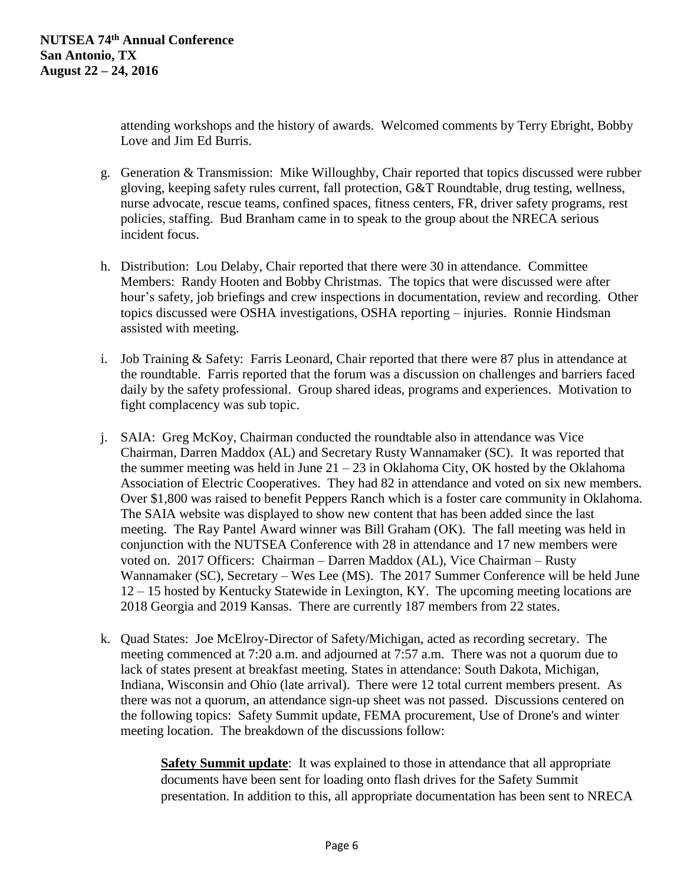attending workshops and the history of awards. Welcomed comments by Terry Ebright, Bobby Love and Jim Ed Burris.

- g. Generation & Transmission: Mike Willoughby, Chair reported that topics discussed were rubber gloving, keeping safety rules current, fall protection, G&T Roundtable, drug testing, wellness, nurse advocate, rescue teams, confined spaces, fitness centers, FR, driver safety programs, rest policies, staffing. Bud Branham came in to speak to the group about the NRECA serious incident focus.
- h. Distribution: Lou Delaby, Chair reported that there were 30 in attendance. Committee Members: Randy Hooten and Bobby Christmas. The topics that were discussed were after hour's safety, job briefings and crew inspections in documentation, review and recording. Other topics discussed were OSHA investigations, OSHA reporting – injuries. Ronnie Hindsman assisted with meeting.
- i. Job Training & Safety: Farris Leonard, Chair reported that there were 87 plus in attendance at the roundtable. Farris reported that the forum was a discussion on challenges and barriers faced daily by the safety professional. Group shared ideas, programs and experiences. Motivation to fight complacency was sub topic.
- j. SAIA: Greg McKoy, Chairman conducted the roundtable also in attendance was Vice Chairman, Darren Maddox (AL) and Secretary Rusty Wannamaker (SC). It was reported that the summer meeting was held in June  $21 - 23$  in Oklahoma City, OK hosted by the Oklahoma Association of Electric Cooperatives. They had 82 in attendance and voted on six new members. Over \$1,800 was raised to benefit Peppers Ranch which is a foster care community in Oklahoma. The SAIA website was displayed to show new content that has been added since the last meeting. The Ray Pantel Award winner was Bill Graham (OK). The fall meeting was held in conjunction with the NUTSEA Conference with 28 in attendance and 17 new members were voted on. 2017 Officers: Chairman – Darren Maddox (AL), Vice Chairman – Rusty Wannamaker (SC), Secretary – Wes Lee (MS). The 2017 Summer Conference will be held June 12 – 15 hosted by Kentucky Statewide in Lexington, KY. The upcoming meeting locations are 2018 Georgia and 2019 Kansas. There are currently 187 members from 22 states.
- k. Quad States: Joe McElroy-Director of Safety/Michigan, acted as recording secretary. The meeting commenced at 7:20 a.m. and adjourned at 7:57 a.m. There was not a quorum due to lack of states present at breakfast meeting. States in attendance: South Dakota, Michigan, Indiana, Wisconsin and Ohio (late arrival). There were 12 total current members present. As there was not a quorum, an attendance sign-up sheet was not passed. Discussions centered on the following topics: Safety Summit update, FEMA procurement, Use of Drone's and winter meeting location. The breakdown of the discussions follow:

**Safety Summit update**: It was explained to those in attendance that all appropriate documents have been sent for loading onto flash drives for the Safety Summit presentation. In addition to this, all appropriate documentation has been sent to NRECA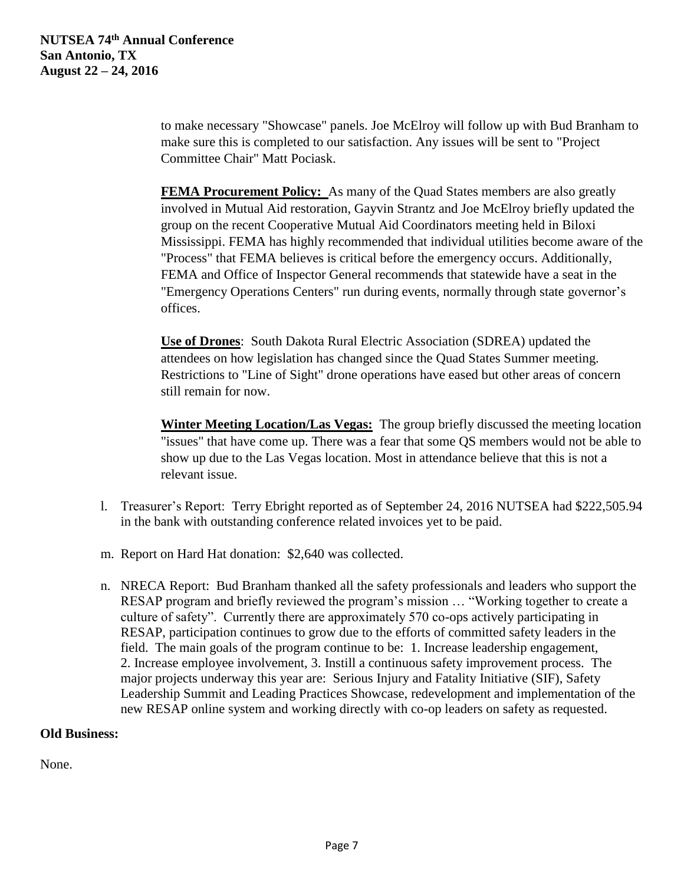to make necessary "Showcase" panels. Joe McElroy will follow up with Bud Branham to make sure this is completed to our satisfaction. Any issues will be sent to "Project Committee Chair" Matt Pociask.

**FEMA Procurement Policy:** As many of the Quad States members are also greatly involved in Mutual Aid restoration, Gayvin Strantz and Joe McElroy briefly updated the group on the recent Cooperative Mutual Aid Coordinators meeting held in Biloxi Mississippi. FEMA has highly recommended that individual utilities become aware of the "Process" that FEMA believes is critical before the emergency occurs. Additionally, FEMA and Office of Inspector General recommends that statewide have a seat in the "Emergency Operations Centers" run during events, normally through state governor's offices.

**Use of Drones**: South Dakota Rural Electric Association (SDREA) updated the attendees on how legislation has changed since the Quad States Summer meeting. Restrictions to "Line of Sight" drone operations have eased but other areas of concern still remain for now.

**Winter Meeting Location/Las Vegas:** The group briefly discussed the meeting location "issues" that have come up. There was a fear that some QS members would not be able to show up due to the Las Vegas location. Most in attendance believe that this is not a relevant issue.

- l. Treasurer's Report: Terry Ebright reported as of September 24, 2016 NUTSEA had \$222,505.94 in the bank with outstanding conference related invoices yet to be paid.
- m. Report on Hard Hat donation: \$2,640 was collected.
- n. NRECA Report: Bud Branham thanked all the safety professionals and leaders who support the RESAP program and briefly reviewed the program's mission … "Working together to create a culture of safety". Currently there are approximately 570 co-ops actively participating in RESAP, participation continues to grow due to the efforts of committed safety leaders in the field. The main goals of the program continue to be: 1. Increase leadership engagement, 2. Increase employee involvement, 3. Instill a continuous safety improvement process. The major projects underway this year are: Serious Injury and Fatality Initiative (SIF), Safety Leadership Summit and Leading Practices Showcase, redevelopment and implementation of the new RESAP online system and working directly with co-op leaders on safety as requested.

### **Old Business:**

None.